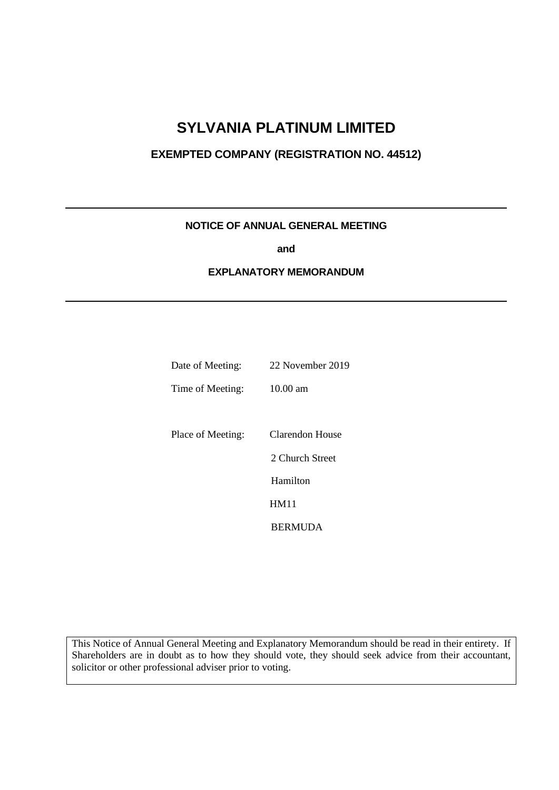# **SYLVANIA PLATINUM LIMITED**

### **EXEMPTED COMPANY (REGISTRATION NO. 44512)**

### **NOTICE OF ANNUAL GENERAL MEETING**

**and**

#### **EXPLANATORY MEMORANDUM**

| Date of Meeting:  | 22 November 2019 |
|-------------------|------------------|
| Time of Meeting:  | 10.00 am         |
|                   |                  |
| Place of Meeting: | Clarendon House  |
|                   | 2 Church Street  |
|                   | Hamilton         |
|                   | HM11             |
|                   | <b>BERMUDA</b>   |

This Notice of Annual General Meeting and Explanatory Memorandum should be read in their entirety. If Shareholders are in doubt as to how they should vote, they should seek advice from their accountant, solicitor or other professional adviser prior to voting.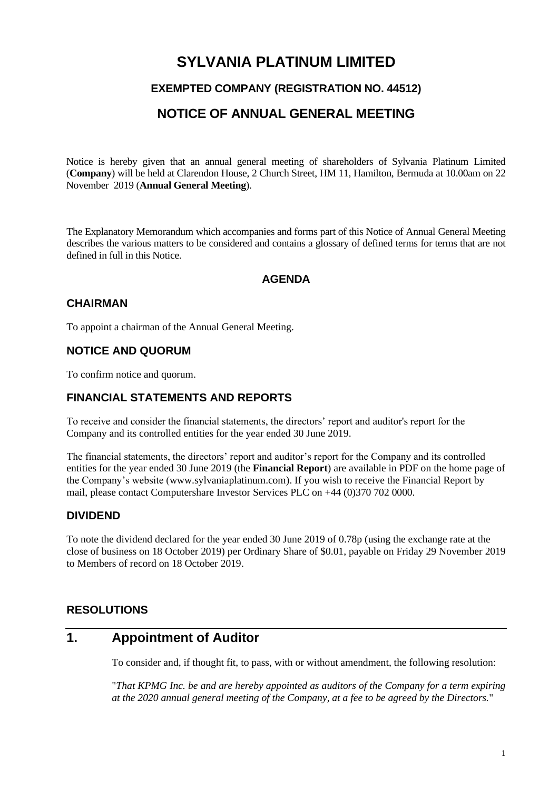# **SYLVANIA PLATINUM LIMITED**

### **EXEMPTED COMPANY (REGISTRATION NO. 44512)**

### **NOTICE OF ANNUAL GENERAL MEETING**

Notice is hereby given that an annual general meeting of shareholders of Sylvania Platinum Limited (**Company**) will be held at Clarendon House, 2 Church Street, HM 11, Hamilton, Bermuda at 10.00am on 22 November 2019 (**Annual General Meeting**).

The Explanatory Memorandum which accompanies and forms part of this Notice of Annual General Meeting describes the various matters to be considered and contains a glossary of defined terms for terms that are not defined in full in this Notice.

### **AGENDA**

### **CHAIRMAN**

To appoint a chairman of the Annual General Meeting.

### **NOTICE AND QUORUM**

To confirm notice and quorum.

### **FINANCIAL STATEMENTS AND REPORTS**

To receive and consider the financial statements, the directors' report and auditor's report for the Company and its controlled entities for the year ended 30 June 2019.

The financial statements, the directors' report and auditor's report for the Company and its controlled entities for the year ended 30 June 2019 (the **Financial Report**) are available in PDF on the home page of the Company's website [\(www.sylvaniaplatinum.com\)](http://www.sylvaniaplatinum.com/). If you wish to receive the Financial Report by mail, please contact Computershare Investor Services PLC on +44 (0)370 702 0000.

### **DIVIDEND**

To note the dividend declared for the year ended 30 June 2019 of 0.78p (using the exchange rate at the close of business on 18 October 2019) per Ordinary Share of \$0.01, payable on Friday 29 November 2019 to Members of record on 18 October 2019.

### **RESOLUTIONS**

### **1. Appointment of Auditor**

To consider and, if thought fit, to pass, with or without amendment, the following resolution:

"*That KPMG Inc. be and are hereby appointed as auditors of the Company for a term expiring at the 2020 annual general meeting of the Company, at a fee to be agreed by the Directors.*"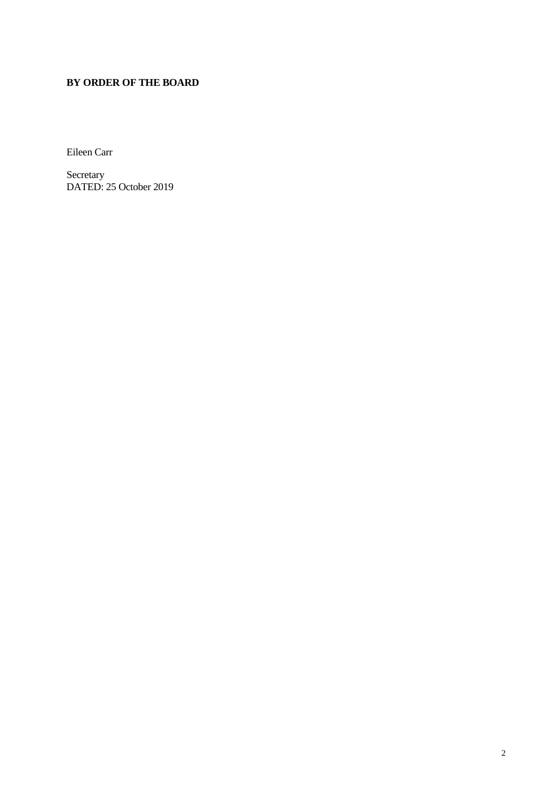### **BY ORDER OF THE BOARD**

Eileen Carr

Secretary DATED: 25 October 2019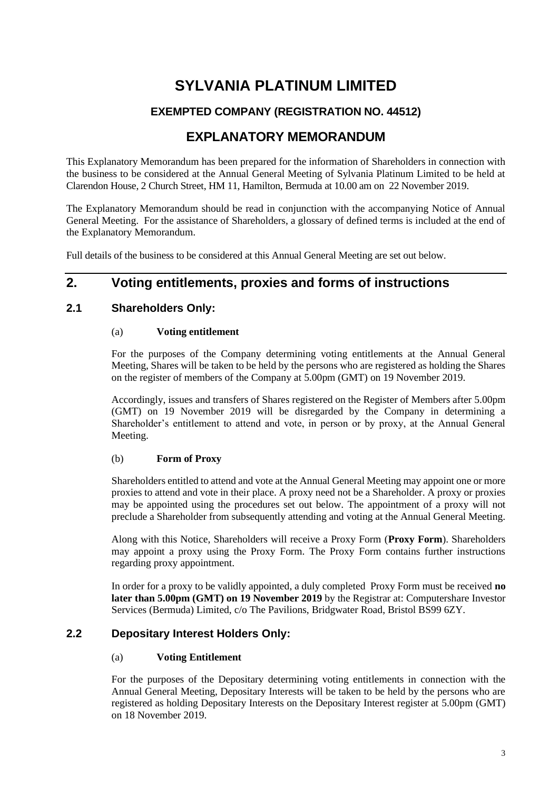# **SYLVANIA PLATINUM LIMITED**

### **EXEMPTED COMPANY (REGISTRATION NO. 44512)**

## **EXPLANATORY MEMORANDUM**

This Explanatory Memorandum has been prepared for the information of Shareholders in connection with the business to be considered at the Annual General Meeting of Sylvania Platinum Limited to be held at Clarendon House, 2 Church Street, HM 11, Hamilton, Bermuda at 10.00 am on 22 November 2019.

The Explanatory Memorandum should be read in conjunction with the accompanying Notice of Annual General Meeting. For the assistance of Shareholders, a glossary of defined terms is included at the end of the Explanatory Memorandum.

Full details of the business to be considered at this Annual General Meeting are set out below.

### **2. Voting entitlements, proxies and forms of instructions**

### **2.1 Shareholders Only:**

### (a) **Voting entitlement**

For the purposes of the Company determining voting entitlements at the Annual General Meeting, Shares will be taken to be held by the persons who are registered as holding the Shares on the register of members of the Company at 5.00pm (GMT) on 19 November 2019.

Accordingly, issues and transfers of Shares registered on the Register of Members after 5.00pm (GMT) on 19 November 2019 will be disregarded by the Company in determining a Shareholder's entitlement to attend and vote, in person or by proxy, at the Annual General Meeting.

### (b) **Form of Proxy**

Shareholders entitled to attend and vote at the Annual General Meeting may appoint one or more proxies to attend and vote in their place. A proxy need not be a Shareholder. A proxy or proxies may be appointed using the procedures set out below. The appointment of a proxy will not preclude a Shareholder from subsequently attending and voting at the Annual General Meeting.

Along with this Notice, Shareholders will receive a Proxy Form (**Proxy Form**). Shareholders may appoint a proxy using the Proxy Form. The Proxy Form contains further instructions regarding proxy appointment.

In order for a proxy to be validly appointed, a duly completed Proxy Form must be received **no later than 5.00pm (GMT) on 19 November 2019** by the Registrar at: Computershare Investor Services (Bermuda) Limited, c/o The Pavilions, Bridgwater Road, Bristol BS99 6ZY.

### **2.2 Depositary Interest Holders Only:**

### (a) **Voting Entitlement**

For the purposes of the Depositary determining voting entitlements in connection with the Annual General Meeting, Depositary Interests will be taken to be held by the persons who are registered as holding Depositary Interests on the Depositary Interest register at 5.00pm (GMT) on 18 November 2019.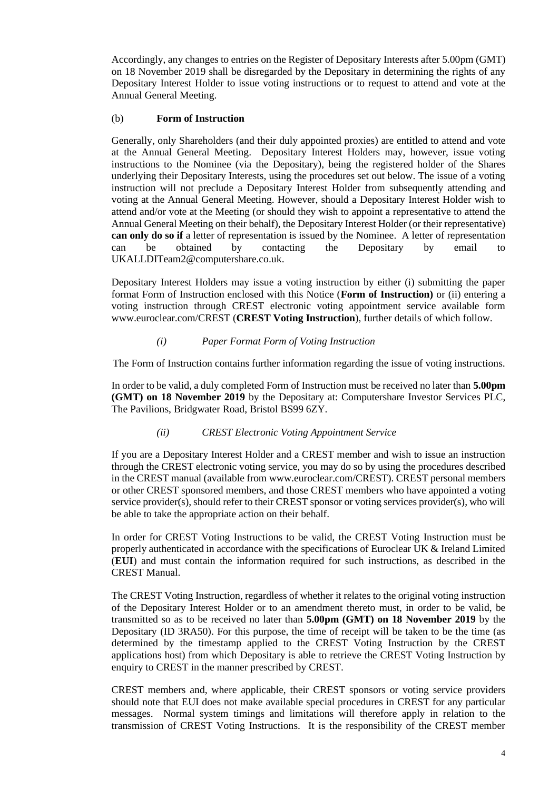Accordingly, any changes to entries on the Register of Depositary Interests after 5.00pm (GMT) on 18 November 2019 shall be disregarded by the Depositary in determining the rights of any Depositary Interest Holder to issue voting instructions or to request to attend and vote at the Annual General Meeting.

#### (b) **Form of Instruction**

Generally, only Shareholders (and their duly appointed proxies) are entitled to attend and vote at the Annual General Meeting. Depositary Interest Holders may, however, issue voting instructions to the Nominee (via the Depositary), being the registered holder of the Shares underlying their Depositary Interests, using the procedures set out below. The issue of a voting instruction will not preclude a Depositary Interest Holder from subsequently attending and voting at the Annual General Meeting. However, should a Depositary Interest Holder wish to attend and/or vote at the Meeting (or should they wish to appoint a representative to attend the Annual General Meeting on their behalf), the Depositary Interest Holder (or their representative) **can only do so if** a letter of representation is issued by the Nominee. A letter of representation can be obtained by contacting the Depositary by email to [UKALLDITeam2@computershare.co.uk.](mailto:UKALLDITeam2@computershare.co.uk)

Depositary Interest Holders may issue a voting instruction by either (i) submitting the paper format Form of Instruction enclosed with this Notice (**Form of Instruction)** or (ii) entering a voting instruction through CREST electronic voting appointment service available form [www.euroclear.com/CREST](http://www.euroclear.com/CREST) (**CREST Voting Instruction**), further details of which follow.

#### *(i) Paper Format Form of Voting Instruction*

The Form of Instruction contains further information regarding the issue of voting instructions.

In order to be valid, a duly completed Form of Instruction must be received no later than **5.00pm (GMT) on 18 November 2019** by the Depositary at: Computershare Investor Services PLC, The Pavilions, Bridgwater Road, Bristol BS99 6ZY.

### *(ii) CREST Electronic Voting Appointment Service*

If you are a Depositary Interest Holder and a CREST member and wish to issue an instruction through the CREST electronic voting service, you may do so by using the procedures described in the CREST manual (available fro[m www.euroclear.com/CREST\)](http://www.euroclear.com/CREST). CREST personal members or other CREST sponsored members, and those CREST members who have appointed a voting service provider(s), should refer to their CREST sponsor or voting services provider(s), who will be able to take the appropriate action on their behalf.

In order for CREST Voting Instructions to be valid, the CREST Voting Instruction must be properly authenticated in accordance with the specifications of Euroclear UK & Ireland Limited (**EUI**) and must contain the information required for such instructions, as described in the CREST Manual.

The CREST Voting Instruction, regardless of whether it relates to the original voting instruction of the Depositary Interest Holder or to an amendment thereto must, in order to be valid, be transmitted so as to be received no later than **5.00pm (GMT) on 18 November 2019** by the Depositary (ID 3RA50). For this purpose, the time of receipt will be taken to be the time (as determined by the timestamp applied to the CREST Voting Instruction by the CREST applications host) from which Depositary is able to retrieve the CREST Voting Instruction by enquiry to CREST in the manner prescribed by CREST.

CREST members and, where applicable, their CREST sponsors or voting service providers should note that EUI does not make available special procedures in CREST for any particular messages. Normal system timings and limitations will therefore apply in relation to the transmission of CREST Voting Instructions. It is the responsibility of the CREST member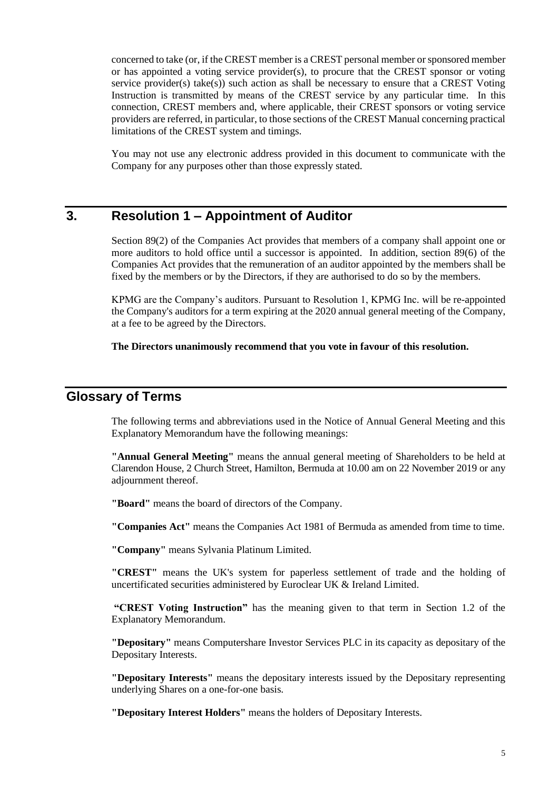concerned to take (or, if the CREST member is a CREST personal member or sponsored member or has appointed a voting service provider(s), to procure that the CREST sponsor or voting service provider(s) take(s)) such action as shall be necessary to ensure that a CREST Voting Instruction is transmitted by means of the CREST service by any particular time. In this connection, CREST members and, where applicable, their CREST sponsors or voting service providers are referred, in particular, to those sections of the CREST Manual concerning practical limitations of the CREST system and timings.

You may not use any electronic address provided in this document to communicate with the Company for any purposes other than those expressly stated.

# **3. Resolution 1 – Appointment of Auditor**

Section 89(2) of the Companies Act provides that members of a company shall appoint one or more auditors to hold office until a successor is appointed. In addition, section 89(6) of the Companies Act provides that the remuneration of an auditor appointed by the members shall be fixed by the members or by the Directors, if they are authorised to do so by the members.

KPMG are the Company's auditors. Pursuant to Resolution 1, KPMG Inc*.* will be re-appointed the Company's auditors for a term expiring at the 2020 annual general meeting of the Company, at a fee to be agreed by the Directors.

#### **The Directors unanimously recommend that you vote in favour of this resolution.**

### **Glossary of Terms**

The following terms and abbreviations used in the Notice of Annual General Meeting and this Explanatory Memorandum have the following meanings:

**"Annual General Meeting"** means the annual general meeting of Shareholders to be held at Clarendon House, 2 Church Street, Hamilton, Bermuda at 10.00 am on 22 November 2019 or any adjournment thereof.

**"Board"** means the board of directors of the Company.

**"Companies Act"** means the Companies Act 1981 of Bermuda as amended from time to time.

**"Company"** means Sylvania Platinum Limited.

**"CREST"** means the UK's system for paperless settlement of trade and the holding of uncertificated securities administered by Euroclear UK & Ireland Limited.

**"CREST Voting Instruction"** has the meaning given to that term in Section 1.2 of the Explanatory Memorandum.

**"Depositary"** means Computershare Investor Services PLC in its capacity as depositary of the Depositary Interests.

**"Depositary Interests"** means the depositary interests issued by the Depositary representing underlying Shares on a one-for-one basis.

**"Depositary Interest Holders"** means the holders of Depositary Interests.